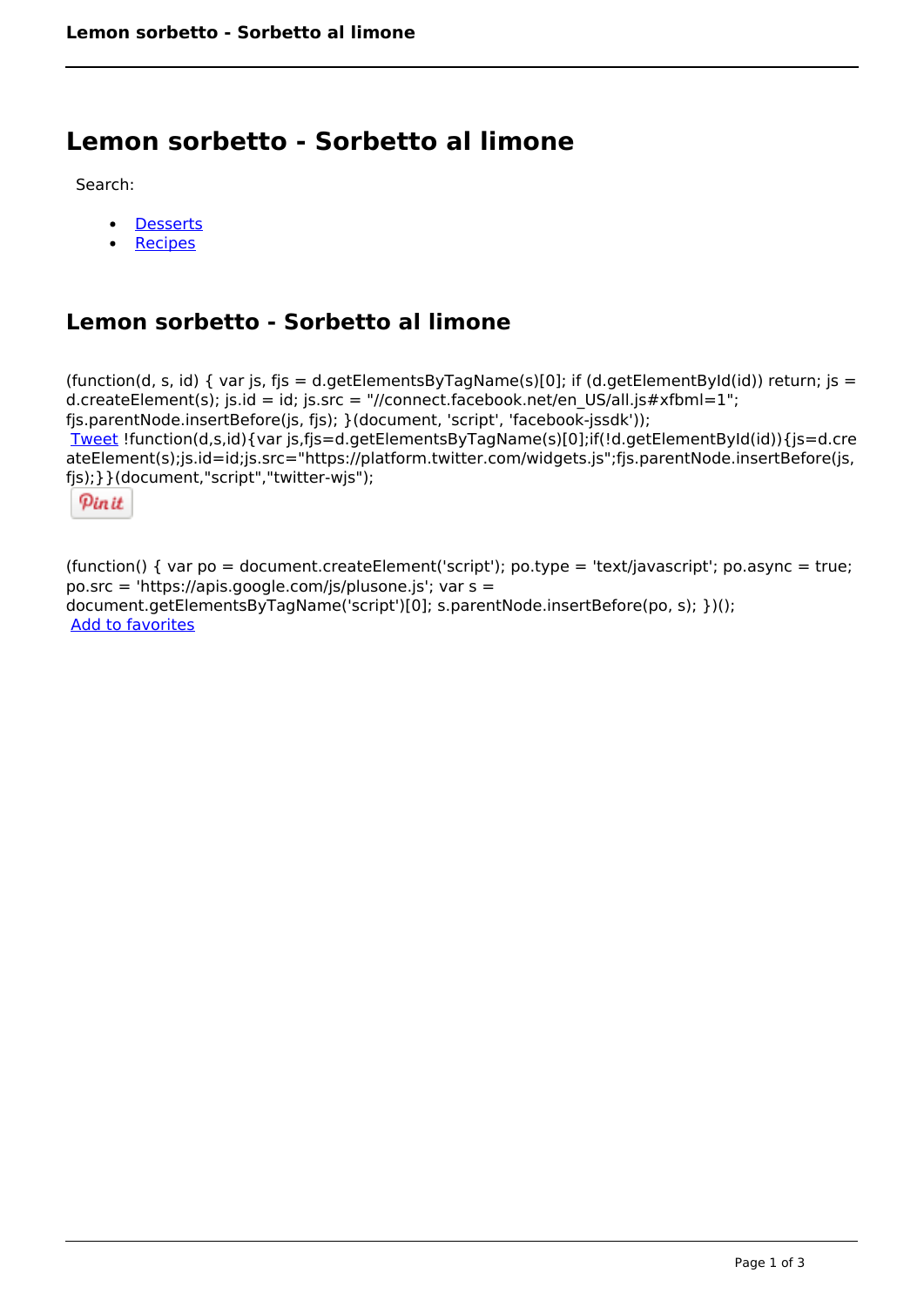# **Lemon sorbetto - Sorbetto al limone**

Search:

- **[Desserts](https://www.naturalhealthmag.com.au/nourish/desserts)**  $\bullet$
- [Recipes](https://www.naturalhealthmag.com.au/nourish/recipes)

## **Lemon sorbetto - Sorbetto al limone**

(function(d, s, id) { var js, fjs = d.getElementsByTagName(s)[0]; if (d.getElementById(id)) return; js = d.createElement(s); js.id = id; js.src = "//connect.facebook.net/en\_US/all.js#xfbml=1"; fjs.parentNode.insertBefore(js, fjs); }(document, 'script', 'facebook-jssdk')); [Tweet](https://twitter.com/share) !function(d,s,id){var js,fjs=d.getElementsByTagName(s)[0];if(!d.getElementById(id)){js=d.cre ateElement(s);js.id=id;js.src="https://platform.twitter.com/widgets.js";fjs.parentNode.insertBefore(js, fjs);}}(document,"script","twitter-wjs");

Pinit

(function() { var po = document.createElement('script'); po.type = 'text/javascript'; po.async = true; po.src = 'https://apis.google.com/js/plusone.js'; var s = document.getElementsByTagName('script')[0]; s.parentNode.insertBefore(po, s); })(); Add to favorites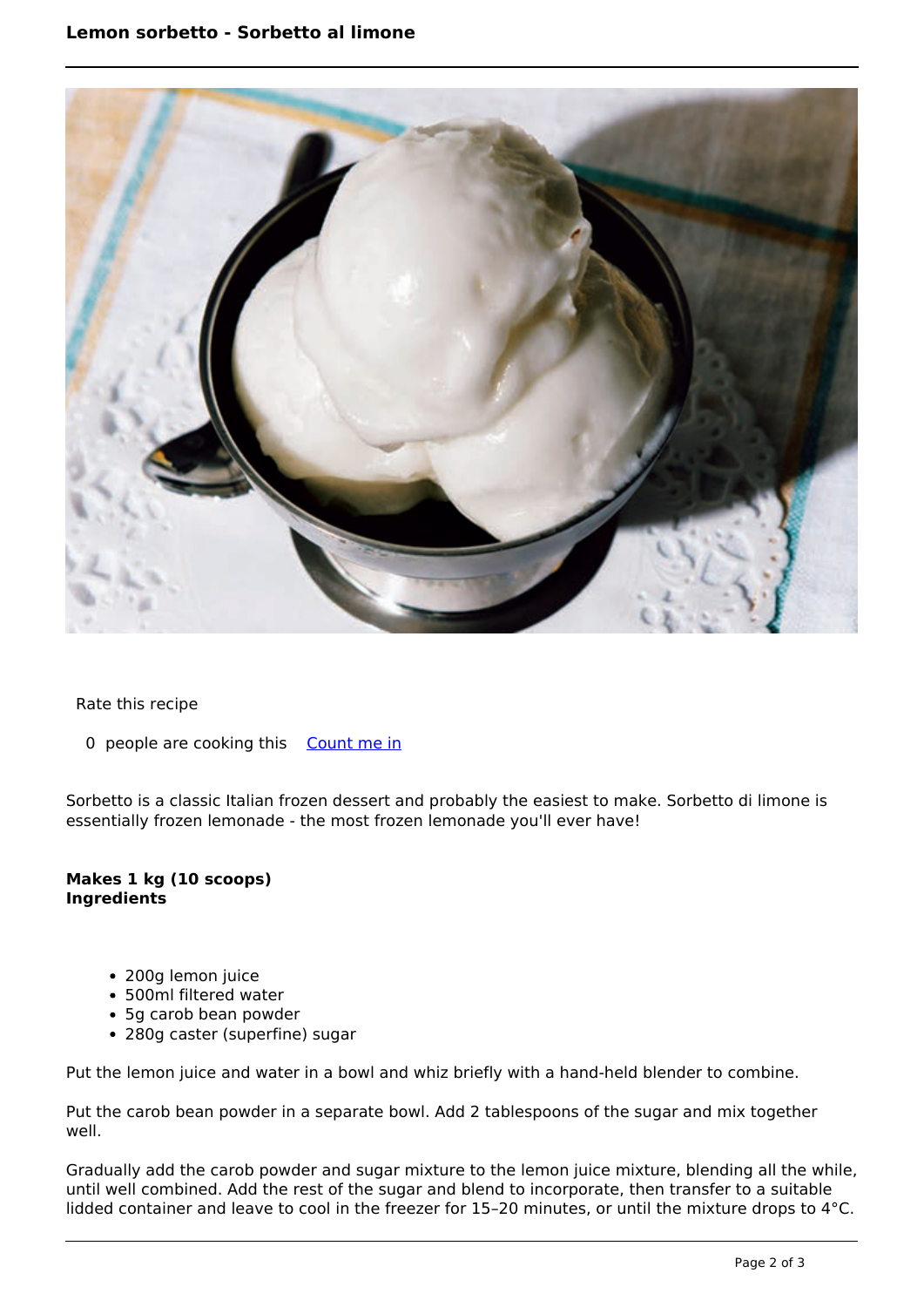### **Lemon sorbetto - Sorbetto al limone**



#### Rate this recipe

#### 0 people are cooking this [Count me in](https://www.naturalhealthmag.com.au/flag/flag/favorites/2624?destination=printpdf%2F2624&token=c4dbd7b206f10b4b615c81f5b97bf766)

Sorbetto is a classic Italian frozen dessert and probably the easiest to make. Sorbetto di limone is essentially frozen lemonade - the most frozen lemonade you'll ever have!

#### **Makes 1 kg (10 scoops) Ingredients**

- 200g lemon juice
- 500ml filtered water
- 5g carob bean powder
- 280g caster (superfine) sugar

Put the lemon juice and water in a bowl and whiz briefly with a hand-held blender to combine.

Put the carob bean powder in a separate bowl. Add 2 tablespoons of the sugar and mix together well.

Gradually add the carob powder and sugar mixture to the lemon juice mixture, blending all the while, until well combined. Add the rest of the sugar and blend to incorporate, then transfer to a suitable lidded container and leave to cool in the freezer for 15–20 minutes, or until the mixture drops to 4°C.